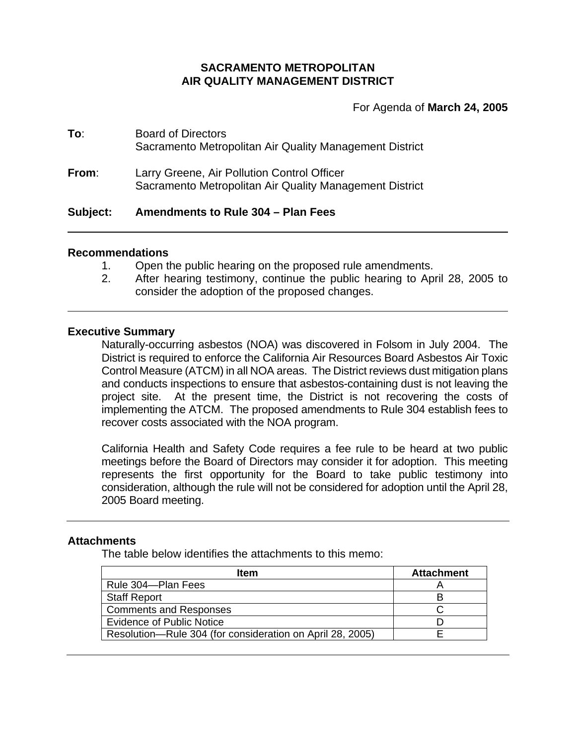#### **SACRAMENTO METROPOLITAN AIR QUALITY MANAGEMENT DISTRICT**

For Agenda of **March 24, 2005**

### **To**: Board of Directors Sacramento Metropolitan Air Quality Management District

**From**: Larry Greene, Air Pollution Control Officer Sacramento Metropolitan Air Quality Management District

#### **Subject: Amendments to Rule 304 – Plan Fees**

#### **Recommendations**

- 1. Open the public hearing on the proposed rule amendments.
- 2. After hearing testimony, continue the public hearing to April 28, 2005 to consider the adoption of the proposed changes.

#### **Executive Summary**

Naturally-occurring asbestos (NOA) was discovered in Folsom in July 2004. The District is required to enforce the California Air Resources Board Asbestos Air Toxic Control Measure (ATCM) in all NOA areas. The District reviews dust mitigation plans and conducts inspections to ensure that asbestos-containing dust is not leaving the project site. At the present time, the District is not recovering the costs of implementing the ATCM. The proposed amendments to Rule 304 establish fees to recover costs associated with the NOA program.

California Health and Safety Code requires a fee rule to be heard at two public meetings before the Board of Directors may consider it for adoption. This meeting represents the first opportunity for the Board to take public testimony into consideration, although the rule will not be considered for adoption until the April 28, 2005 Board meeting.

#### **Attachments**

The table below identifies the attachments to this memo:

| ltem                                                      | <b>Attachment</b> |
|-----------------------------------------------------------|-------------------|
| Rule 304-Plan Fees                                        |                   |
| <b>Staff Report</b>                                       |                   |
| <b>Comments and Responses</b>                             |                   |
| <b>Evidence of Public Notice</b>                          |                   |
| Resolution-Rule 304 (for consideration on April 28, 2005) |                   |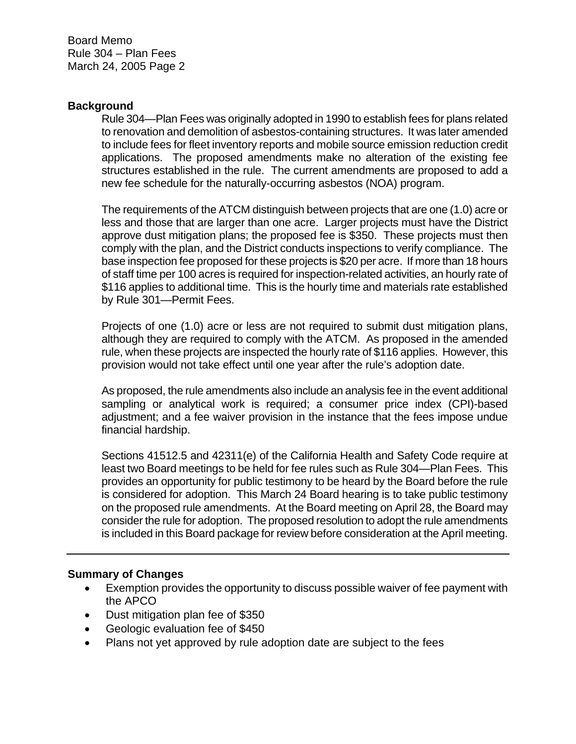Board Memo Rule 304 – Plan Fees March 24, 2005 Page 2

#### **Background**

Rule 304—Plan Fees was originally adopted in 1990 to establish fees for plans related to renovation and demolition of asbestos-containing structures. It was later amended to include fees for fleet inventory reports and mobile source emission reduction credit applications. The proposed amendments make no alteration of the existing fee structures established in the rule. The current amendments are proposed to add a new fee schedule for the naturally-occurring asbestos (NOA) program.

The requirements of the ATCM distinguish between projects that are one (1.0) acre or less and those that are larger than one acre. Larger projects must have the District approve dust mitigation plans; the proposed fee is \$350. These projects must then comply with the plan, and the District conducts inspections to verify compliance. The base inspection fee proposed for these projects is \$20 per acre. If more than 18 hours of staff time per 100 acres is required for inspection-related activities, an hourly rate of \$116 applies to additional time. This is the hourly time and materials rate established by Rule 301—Permit Fees.

Projects of one (1.0) acre or less are not required to submit dust mitigation plans, although they are required to comply with the ATCM. As proposed in the amended rule, when these projects are inspected the hourly rate of \$116 applies. However, this provision would not take effect until one year after the rule's adoption date.

As proposed, the rule amendments also include an analysis fee in the event additional sampling or analytical work is required; a consumer price index (CPI)-based adjustment; and a fee waiver provision in the instance that the fees impose undue financial hardship.

Sections 41512.5 and 42311(e) of the California Health and Safety Code require at least two Board meetings to be held for fee rules such as Rule 304—Plan Fees. This provides an opportunity for public testimony to be heard by the Board before the rule is considered for adoption. This March 24 Board hearing is to take public testimony on the proposed rule amendments. At the Board meeting on April 28, the Board may consider the rule for adoption. The proposed resolution to adopt the rule amendments is included in this Board package for review before consideration at the April meeting.

#### **Summary of Changes**

- Exemption provides the opportunity to discuss possible waiver of fee payment with the APCO
- Dust mitigation plan fee of \$350
- Geologic evaluation fee of \$450
- Plans not yet approved by rule adoption date are subject to the fees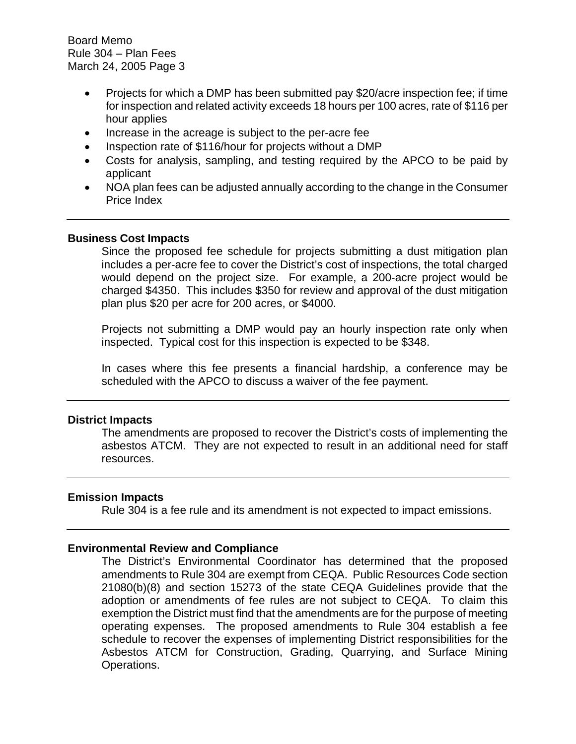Board Memo Rule 304 – Plan Fees March 24, 2005 Page 3

- Projects for which a DMP has been submitted pay \$20/acre inspection fee; if time for inspection and related activity exceeds 18 hours per 100 acres, rate of \$116 per hour applies
- Increase in the acreage is subject to the per-acre fee
- Inspection rate of \$116/hour for projects without a DMP
- Costs for analysis, sampling, and testing required by the APCO to be paid by applicant
- NOA plan fees can be adjusted annually according to the change in the Consumer Price Index

#### **Business Cost Impacts**

Since the proposed fee schedule for projects submitting a dust mitigation plan includes a per-acre fee to cover the District's cost of inspections, the total charged would depend on the project size. For example, a 200-acre project would be charged \$4350. This includes \$350 for review and approval of the dust mitigation plan plus \$20 per acre for 200 acres, or \$4000.

Projects not submitting a DMP would pay an hourly inspection rate only when inspected. Typical cost for this inspection is expected to be \$348.

In cases where this fee presents a financial hardship, a conference may be scheduled with the APCO to discuss a waiver of the fee payment.

#### **District Impacts**

The amendments are proposed to recover the District's costs of implementing the asbestos ATCM. They are not expected to result in an additional need for staff resources.

#### **Emission Impacts**

Rule 304 is a fee rule and its amendment is not expected to impact emissions.

#### **Environmental Review and Compliance**

The District's Environmental Coordinator has determined that the proposed amendments to Rule 304 are exempt from CEQA. Public Resources Code section 21080(b)(8) and section 15273 of the state CEQA Guidelines provide that the adoption or amendments of fee rules are not subject to CEQA. To claim this exemption the District must find that the amendments are for the purpose of meeting operating expenses. The proposed amendments to Rule 304 establish a fee schedule to recover the expenses of implementing District responsibilities for the Asbestos ATCM for Construction, Grading, Quarrying, and Surface Mining Operations.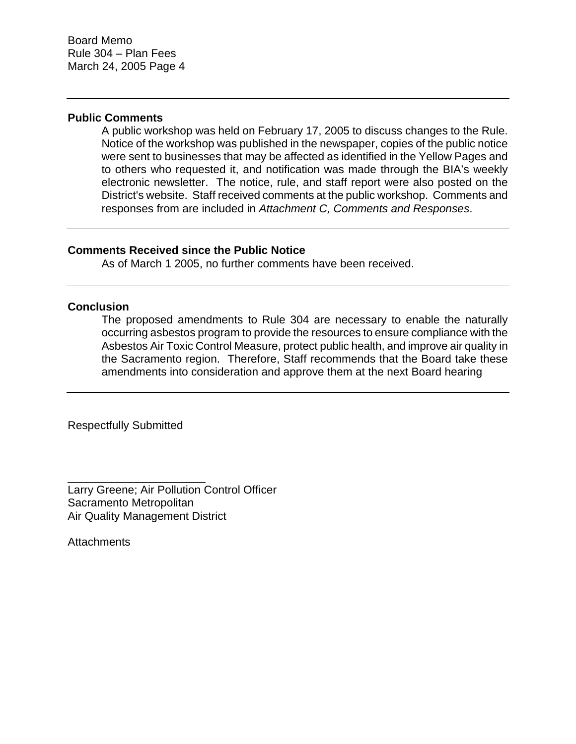#### **Public Comments**

A public workshop was held on February 17, 2005 to discuss changes to the Rule. Notice of the workshop was published in the newspaper, copies of the public notice were sent to businesses that may be affected as identified in the Yellow Pages and to others who requested it, and notification was made through the BIA's weekly electronic newsletter. The notice, rule, and staff report were also posted on the District's website. Staff received comments at the public workshop. Comments and responses from are included in *Attachment C, Comments and Responses*.

#### **Comments Received since the Public Notice**

As of March 1 2005, no further comments have been received.

#### **Conclusion**

The proposed amendments to Rule 304 are necessary to enable the naturally occurring asbestos program to provide the resources to ensure compliance with the Asbestos Air Toxic Control Measure, protect public health, and improve air quality in the Sacramento region. Therefore, Staff recommends that the Board take these amendments into consideration and approve them at the next Board hearing

Respectfully Submitted

\_\_\_\_\_\_\_\_\_\_\_\_\_\_\_\_\_\_\_\_\_\_

Larry Greene; Air Pollution Control Officer Sacramento Metropolitan Air Quality Management District

**Attachments**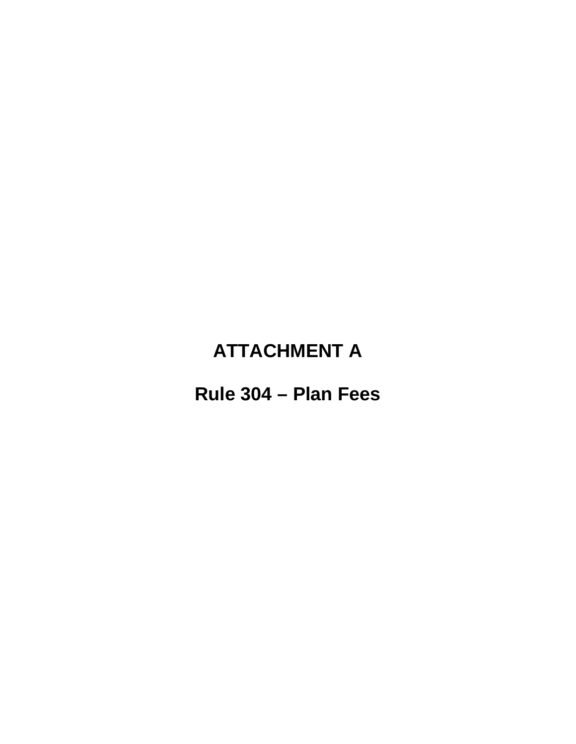## **ATTACHMENT A**

### Rule 304 - Plan Fees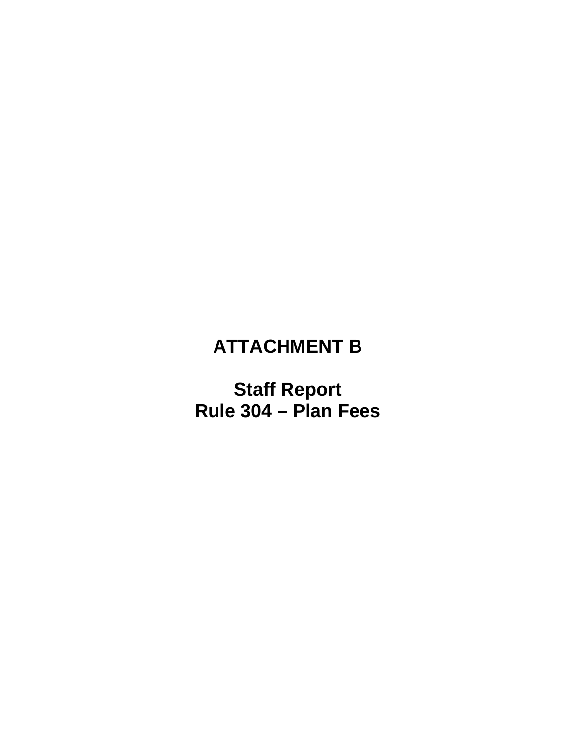## **ATTACHMENT B**

**Staff Report Rule 304 – Plan Fees**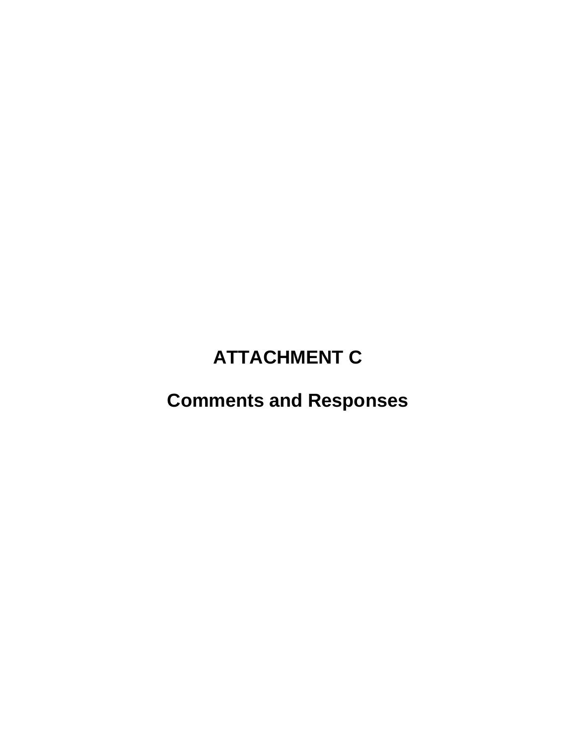# **ATTACHMENT C**

## **Comments and Responses**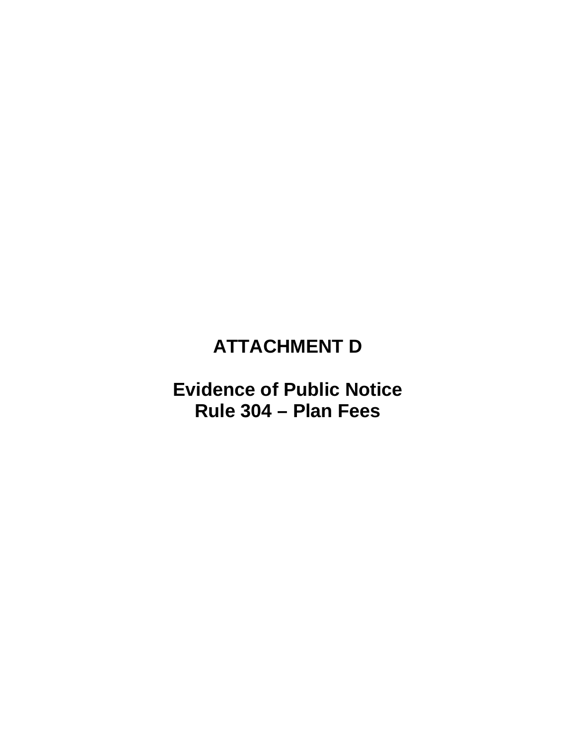## **ATTACHMENT D**

### **Evidence of Public Notice** Rule 304 - Plan Fees